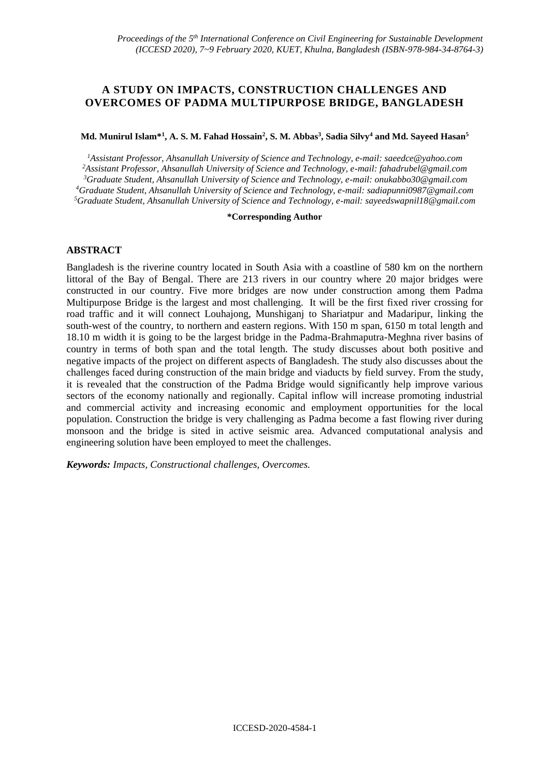# **A STUDY ON IMPACTS, CONSTRUCTION CHALLENGES AND OVERCOMES OF PADMA MULTIPURPOSE BRIDGE, BANGLADESH**

#### **Md. Munirul Islam\*<sup>1</sup> , A. S. M. Fahad Hossain<sup>2</sup> , S. M. Abbas<sup>3</sup> , Sadia Silvy<sup>4</sup> and Md. Sayeed Hasan<sup>5</sup>**

*Assistant Professor, Ahsanullah University of Science and Technology, e-mail: saeedce@yahoo.com Assistant Professor, Ahsanullah University of Science and Technology, e-mail: fahadrubel@gmail.com Graduate Student, Ahsanullah University of Science and Technology, e-mail: [onukabbo30@gmail.com](mailto:onukabbo30@gmail.com) Graduate Student, Ahsanullah University of Science and Technology, e-mail: sadiapunni0987@gmail.com Graduate Student, Ahsanullah University of Science and Technology, e-mail[: sayeedswapnil18@gmail.com](mailto:sayeedswapnil18@gmail.com)*

#### **\*Corresponding Author**

#### **ABSTRACT**

Bangladesh is the riverine country located in South Asia with a coastline of 580 km on the northern littoral of the Bay of Bengal. There are 213 rivers in our country where 20 major bridges were constructed in our country. Five more bridges are now under construction among them Padma Multipurpose Bridge is the largest and most challenging. It will be the first fixed river crossing for road traffic and it will connect Louhajong, Munshiganj to Shariatpur and Madaripur, linking the south-west of the country, to northern and eastern regions. With 150 m span, 6150 m total length and 18.10 m width it is going to be the largest bridge in the Padma-Brahmaputra-Meghna river basins of country in terms of both span and the total length. The study discusses about both positive and negative impacts of the project on different aspects of Bangladesh. The study also discusses about the challenges faced during construction of the main bridge and viaducts by field survey. From the study, it is revealed that the construction of the Padma Bridge would significantly help improve various sectors of the economy nationally and regionally. Capital inflow will increase promoting industrial and commercial activity and increasing economic and employment opportunities for the local population. Construction the bridge is very challenging as Padma become a fast flowing river during monsoon and the bridge is sited in active seismic area. Advanced computational analysis and engineering solution have been employed to meet the challenges.

*Keywords: Impacts, Constructional challenges, Overcomes.*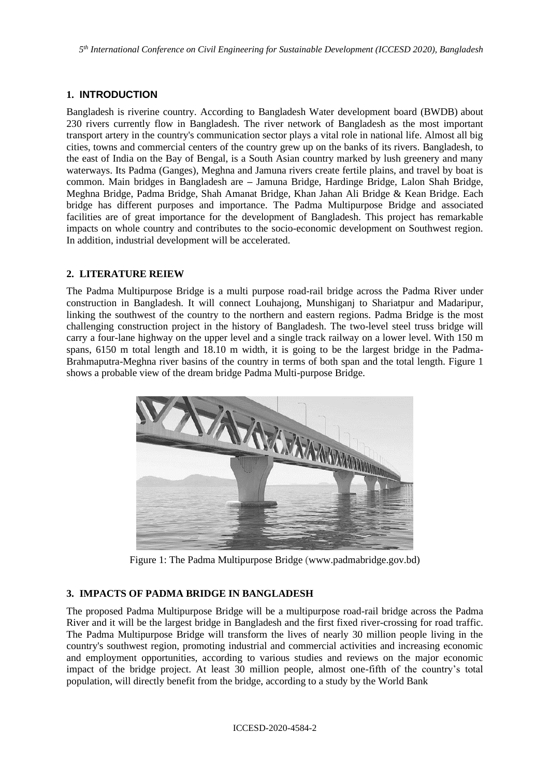*5 th International Conference on Civil Engineering for Sustainable Development (ICCESD 2020), Bangladesh*

# **1. INTRODUCTION**

Bangladesh is riverine country. According to Bangladesh Water development board (BWDB) about 230 rivers currently flow in Bangladesh. The river network of Bangladesh as the most important transport artery in the country's communication sector plays a vital role in national life. Almost all big cities, towns and commercial centers of the country grew up on the banks of its rivers. Bangladesh, to the east of India on the Bay of Bengal, is a South Asian country marked by lush greenery and many waterways. Its Padma (Ganges), Meghna and Jamuna rivers create fertile plains, and travel by boat is common. Main bridges in Bangladesh are **–** Jamuna Bridge, Hardinge Bridge, Lalon Shah Bridge, Meghna Bridge, Padma Bridge, Shah Amanat Bridge, Khan Jahan Ali Bridge & Kean Bridge. Each bridge has different purposes and importance. The Padma Multipurpose Bridge and associated facilities are of great importance for the development of Bangladesh. This project has remarkable impacts on whole country and contributes to the socio-economic development on Southwest region. In addition, industrial development will be accelerated.

# **2. LITERATURE REIEW**

The Padma Multipurpose Bridge is a multi purpose road-rail bridge across the Padma River under construction in Bangladesh. It will connect Louhajong, Munshiganj to Shariatpur and Madaripur, linking the southwest of the country to the northern and eastern regions. Padma Bridge is the most challenging construction project in the history of Bangladesh. The two-level steel truss bridge will carry a four-lane highway on the upper level and a single track railway on a lower level. With 150 m spans, 6150 m total length and 18.10 m width, it is going to be the largest bridge in the Padma-Brahmaputra-Meghna river basins of the country in terms of both span and the total length. Figure 1 shows a probable view of the dream bridge Padma Multi-purpose Bridge.



Figure 1: The Padma Multipurpose Bridge (www.padmabridge.gov.bd)

# **3. IMPACTS OF PADMA BRIDGE IN BANGLADESH**

The proposed Padma Multipurpose Bridge will be a multipurpose road-rail bridge across the Padma River and it will be the largest bridge in Bangladesh and the first fixed river-crossing for road traffic. The Padma Multipurpose Bridge will transform the lives of nearly 30 million people living in the country's southwest region, promoting industrial and commercial activities and increasing economic and employment opportunities, according to various studies and reviews on the major economic impact of the bridge project. At least 30 million people, almost one-fifth of the country's total population, will directly benefit from the bridge, according to a study by the World Bank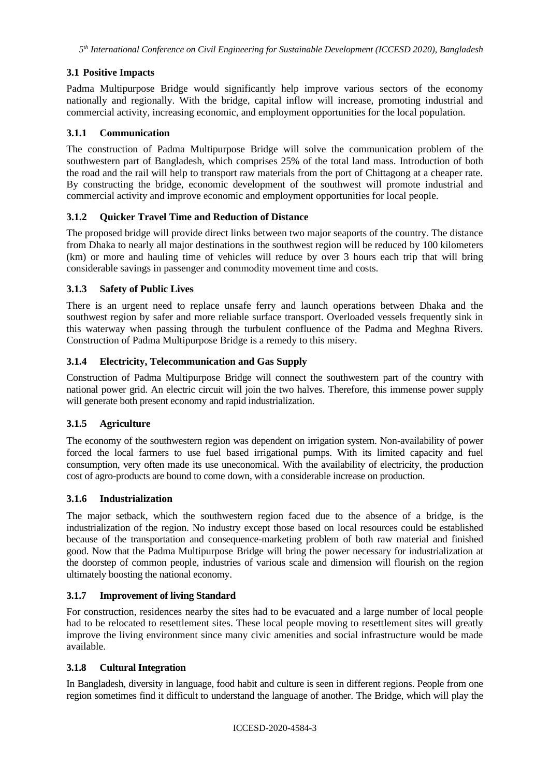# **3.1 Positive Impacts**

Padma Multipurpose Bridge would significantly help improve various sectors of the economy nationally and regionally. With the bridge, capital inflow will increase, promoting industrial and commercial activity, increasing economic, and employment opportunities for the local population.

#### **3.1.1 Communication**

The construction of Padma Multipurpose Bridge will solve the communication problem of the southwestern part of Bangladesh, which comprises 25% of the total land mass. Introduction of both the road and the rail will help to transport raw materials from the port of Chittagong at a cheaper rate. By constructing the bridge, economic development of the southwest will promote industrial and commercial activity and improve economic and employment opportunities for local people.

### **3.1.2 Quicker Travel Time and Reduction of Distance**

The proposed bridge will provide direct links between two major seaports of the country. The distance from Dhaka to nearly all major destinations in the southwest region will be reduced by 100 kilometers (km) or more and hauling time of vehicles will reduce by over 3 hours each trip that will bring considerable savings in passenger and commodity movement time and costs.

### **3.1.3 Safety of Public Lives**

There is an urgent need to replace unsafe ferry and launch operations between Dhaka and the southwest region by safer and more reliable surface transport. Overloaded vessels frequently sink in this waterway when passing through the turbulent confluence of the Padma and Meghna Rivers. Construction of Padma Multipurpose Bridge is a remedy to this misery.

### **3.1.4 Electricity, Telecommunication and Gas Supply**

Construction of Padma Multipurpose Bridge will connect the southwestern part of the country with national power grid. An electric circuit will join the two halves. Therefore, this immense power supply will generate both present economy and rapid industrialization.

# **3.1.5 Agriculture**

The economy of the southwestern region was dependent on irrigation system. Non-availability of power forced the local farmers to use fuel based irrigational pumps. With its limited capacity and fuel consumption, very often made its use uneconomical. With the availability of electricity, the production cost of agro-products are bound to come down, with a considerable increase on production.

#### **3.1.6 Industrialization**

The major setback, which the southwestern region faced due to the absence of a bridge, is the industrialization of the region. No industry except those based on local resources could be established because of the transportation and consequence-marketing problem of both raw material and finished good. Now that the Padma Multipurpose Bridge will bring the power necessary for industrialization at the doorstep of common people, industries of various scale and dimension will flourish on the region ultimately boosting the national economy.

#### **3.1.7 Improvement of living Standard**

For construction, residences nearby the sites had to be evacuated and a large number of local people had to be relocated to resettlement sites. These local people moving to resettlement sites will greatly improve the living environment since many civic amenities and social infrastructure would be made available.

#### **3.1.8 Cultural Integration**

In Bangladesh, diversity in language, food habit and culture is seen in different regions. People from one region sometimes find it difficult to understand the language of another. The Bridge, which will play the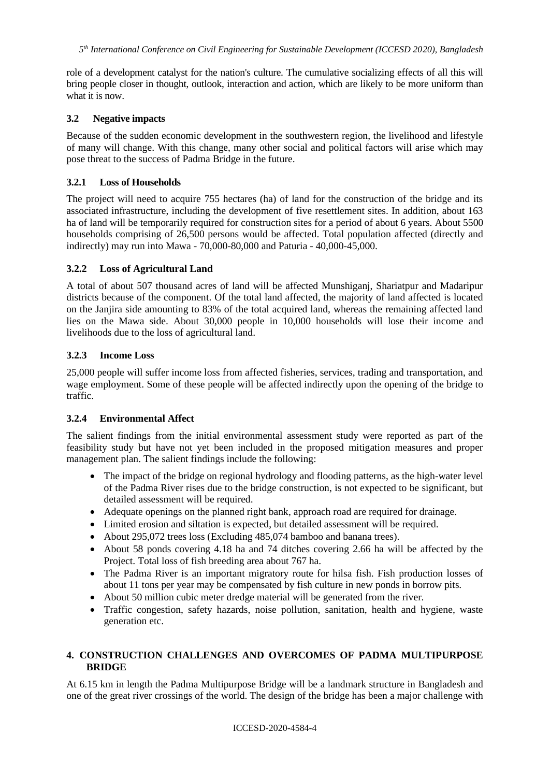role of a development catalyst for the nation's culture. The cumulative socializing effects of all this will bring people closer in thought, outlook, interaction and action, which are likely to be more uniform than what it is now.

#### **3.2 Negative impacts**

Because of the sudden economic development in the southwestern region, the livelihood and lifestyle of many will change. With this change, many other social and political factors will arise which may pose threat to the success of Padma Bridge in the future.

### **3.2.1 Loss of Households**

The project will need to acquire 755 hectares (ha) of land for the construction of the bridge and its associated infrastructure, including the development of five resettlement sites. In addition, about 163 ha of land will be temporarily required for construction sites for a period of about 6 years. About 5500 households comprising of 26,500 persons would be affected. Total population affected (directly and indirectly) may run into Mawa - 70,000-80,000 and Paturia - 40,000-45,000.

### **3.2.2 Loss of Agricultural Land**

A total of about 507 thousand acres of land will be affected Munshiganj, Shariatpur and Madaripur districts because of the component. Of the total land affected, the majority of land affected is located on the Janjira side amounting to 83% of the total acquired land, whereas the remaining affected land lies on the Mawa side. About 30,000 people in 10,000 households will lose their income and livelihoods due to the loss of agricultural land.

### **3.2.3 Income Loss**

25,000 people will suffer income loss from affected fisheries, services, trading and transportation, and wage employment. Some of these people will be affected indirectly upon the opening of the bridge to traffic.

# **3.2.4 Environmental Affect**

The salient findings from the initial environmental assessment study were reported as part of the feasibility study but have not yet been included in the proposed mitigation measures and proper management plan. The salient findings include the following:

- The impact of the bridge on regional hydrology and flooding patterns, as the high-water level of the Padma River rises due to the bridge construction, is not expected to be significant, but detailed assessment will be required.
- Adequate openings on the planned right bank, approach road are required for drainage.
- Limited erosion and siltation is expected, but detailed assessment will be required.
- About 295,072 trees loss (Excluding 485,074 bamboo and banana trees).
- About 58 ponds covering 4.18 ha and 74 ditches covering 2.66 ha will be affected by the Project. Total loss of fish breeding area about 767 ha.
- The Padma River is an important migratory route for hilsa fish. Fish production losses of about 11 tons per year may be compensated by fish culture in new ponds in borrow pits.
- About 50 million cubic meter dredge material will be generated from the river.
- Traffic congestion, safety hazards, noise pollution, sanitation, health and hygiene, waste generation etc.

# **4. CONSTRUCTION CHALLENGES AND OVERCOMES OF PADMA MULTIPURPOSE BRIDGE**

At 6.15 km in length the Padma Multipurpose Bridge will be a landmark structure in Bangladesh and one of the great river crossings of the world. The design of the bridge has been a major challenge with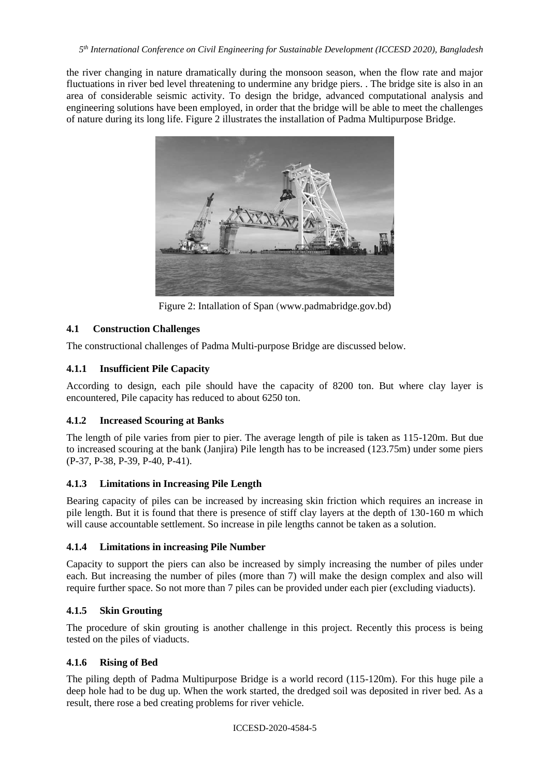the river changing in nature dramatically during the monsoon season, when the flow rate and major fluctuations in river bed level threatening to undermine any bridge piers. . The bridge site is also in an area of considerable seismic activity. To design the bridge, advanced computational analysis and engineering solutions have been employed, in order that the bridge will be able to meet the challenges of nature during its long life. Figure 2 illustrates the installation of Padma Multipurpose Bridge.



Figure 2: Intallation of Span (www.padmabridge.gov.bd)

# **4.1 Construction Challenges**

The constructional challenges of Padma Multi-purpose Bridge are discussed below.

# **4.1.1 Insufficient Pile Capacity**

According to design, each pile should have the capacity of 8200 ton. But where clay layer is encountered, Pile capacity has reduced to about 6250 ton.

# **4.1.2 Increased Scouring at Banks**

The length of pile varies from pier to pier. The average length of pile is taken as 115-120m. But due to increased scouring at the bank (Janjira) Pile length has to be increased (123.75m) under some piers (P-37, P-38, P-39, P-40, P-41).

# **4.1.3 Limitations in Increasing Pile Length**

Bearing capacity of piles can be increased by increasing skin friction which requires an increase in pile length. But it is found that there is presence of stiff clay layers at the depth of 130-160 m which will cause accountable settlement. So increase in pile lengths cannot be taken as a solution.

# **4.1.4 Limitations in increasing Pile Number**

Capacity to support the piers can also be increased by simply increasing the number of piles under each. But increasing the number of piles (more than 7) will make the design complex and also will require further space. So not more than 7 piles can be provided under each pier (excluding viaducts).

# **4.1.5 Skin Grouting**

The procedure of skin grouting is another challenge in this project. Recently this process is being tested on the piles of viaducts.

# **4.1.6 Rising of Bed**

The piling depth of Padma Multipurpose Bridge is a world record (115-120m). For this huge pile a deep hole had to be dug up. When the work started, the dredged soil was deposited in river bed. As a result, there rose a bed creating problems for river vehicle.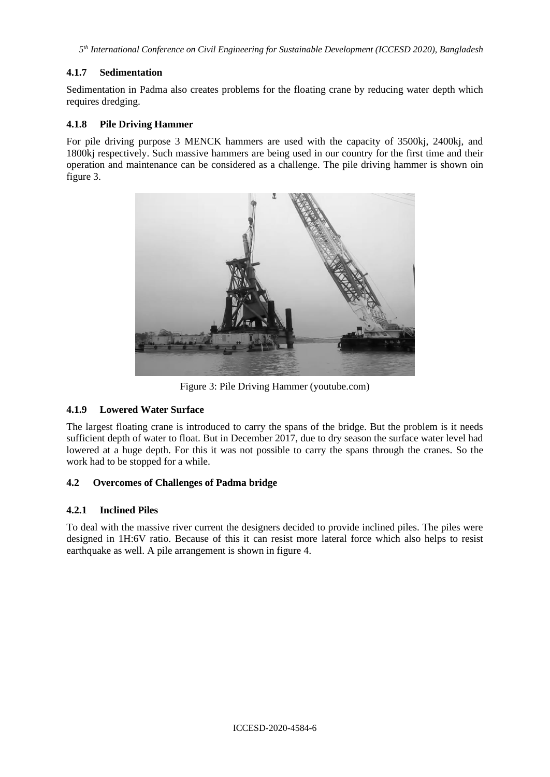*5 th International Conference on Civil Engineering for Sustainable Development (ICCESD 2020), Bangladesh*

### **4.1.7 Sedimentation**

Sedimentation in Padma also creates problems for the floating crane by reducing water depth which requires dredging.

### **4.1.8 Pile Driving Hammer**

For pile driving purpose 3 MENCK hammers are used with the capacity of 3500kj, 2400kj, and 1800kj respectively. Such massive hammers are being used in our country for the first time and their operation and maintenance can be considered as a challenge. The pile driving hammer is shown oin figure 3.



Figure 3: Pile Driving Hammer (youtube.com)

# **4.1.9 Lowered Water Surface**

The largest floating crane is introduced to carry the spans of the bridge. But the problem is it needs sufficient depth of water to float. But in December 2017, due to dry season the surface water level had lowered at a huge depth. For this it was not possible to carry the spans through the cranes. So the work had to be stopped for a while.

#### **4.2 Overcomes of Challenges of Padma bridge**

#### **4.2.1 Inclined Piles**

To deal with the massive river current the designers decided to provide inclined piles. The piles were designed in 1H:6V ratio. Because of this it can resist more lateral force which also helps to resist earthquake as well. A pile arrangement is shown in figure 4.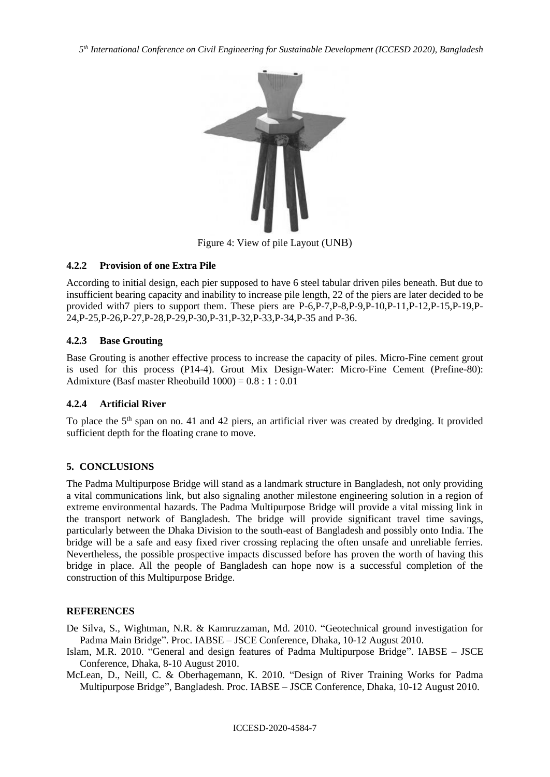*5 th International Conference on Civil Engineering for Sustainable Development (ICCESD 2020), Bangladesh*



Figure 4: View of pile Layout (UNB)

# **4.2.2 Provision of one Extra Pile**

According to initial design, each pier supposed to have 6 steel tabular driven piles beneath. But due to insufficient bearing capacity and inability to increase pile length, 22 of the piers are later decided to be provided with7 piers to support them. These piers are P-6,P-7,P-8,P-9,P-10,P-11,P-12,P-15,P-19,P-24,P-25,P-26,P-27,P-28,P-29,P-30,P-31,P-32,P-33,P-34,P-35 and P-36.

# **4.2.3 Base Grouting**

Base Grouting is another effective process to increase the capacity of piles. Micro-Fine cement grout is used for this process (P14-4). Grout Mix Design-Water: Micro-Fine Cement (Prefine-80): Admixture (Basf master Rheobuild  $1000$ ) =  $0.8 : 1 : 0.01$ 

#### **4.2.4 Artificial River**

To place the 5<sup>th</sup> span on no. 41 and 42 piers, an artificial river was created by dredging. It provided sufficient depth for the floating crane to move.

# **5. CONCLUSIONS**

The Padma Multipurpose Bridge will stand as a landmark structure in Bangladesh, not only providing a vital communications link, but also signaling another milestone engineering solution in a region of extreme environmental hazards. The Padma Multipurpose Bridge will provide a vital missing link in the transport network of Bangladesh. The bridge will provide significant travel time savings, particularly between the Dhaka Division to the south-east of Bangladesh and possibly onto India. The bridge will be a safe and easy fixed river crossing replacing the often unsafe and unreliable ferries. Nevertheless, the possible prospective impacts discussed before has proven the worth of having this bridge in place. All the people of Bangladesh can hope now is a successful completion of the construction of this Multipurpose Bridge.

#### **REFERENCES**

De Silva, S., Wightman, N.R. & Kamruzzaman, Md. 2010. "Geotechnical ground investigation for Padma Main Bridge". Proc. IABSE – JSCE Conference, Dhaka, 10-12 August 2010.

Islam, M.R. 2010. "General and design features of Padma Multipurpose Bridge". IABSE – JSCE Conference, Dhaka, 8-10 August 2010.

McLean, D., Neill, C. & Oberhagemann, K. 2010. "Design of River Training Works for Padma Multipurpose Bridge", Bangladesh. Proc. IABSE – JSCE Conference, Dhaka, 10-12 August 2010.